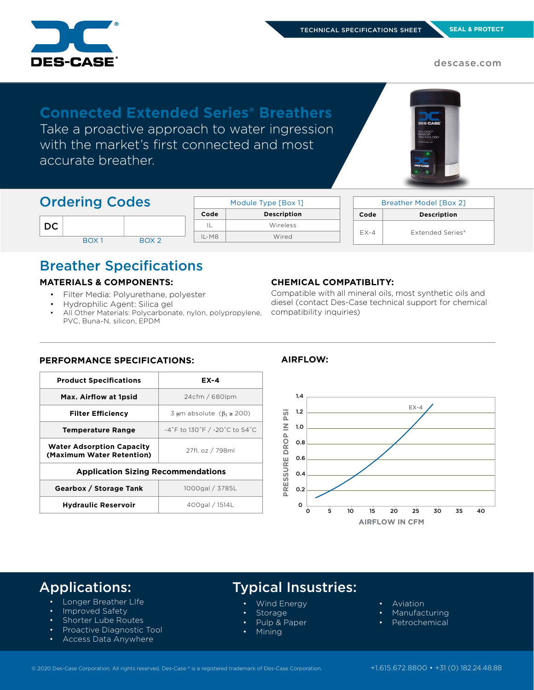

descase.com

# **Connected Extended Series® Breathers** Take a proactive approach to water ingression

with the market's first connected and most accurate breather.



| <b>Ordering Codes</b> |                  |                  |         | Module Type [Box 1] |  | <b>Breather Model [Box 2]</b> |                    |
|-----------------------|------------------|------------------|---------|---------------------|--|-------------------------------|--------------------|
|                       |                  |                  | Code    | <b>Description</b>  |  | Code                          | <b>Description</b> |
| DC                    |                  |                  | IL      | Wireless            |  |                               | Extended Series®   |
|                       | BOX <sub>1</sub> | BOX <sub>2</sub> | $IL-M8$ | Wired               |  | $EX-4$                        |                    |

# Breather Specifications

# **MATERIALS & COMPONENTS:**

- Filter Media: Polyurethane, polyester
- Hydrophilic Agent: Silica gel

**PERFORMANCE SPECIFICATIONS:**

All Other Materials: Polycarbonate, nylon, polypropylene, PVC, Buna-N, silicon, EPDM

# **CHEMICAL COMPATIBLITY:**

Compatible with all mineral oils, most synthetic oils and diesel (contact Des-Case technical support for chemical compatibility inquiries)

# **Product Specifications EX-4** Max. Airflow at 1psid **24cfm / 680lpm Filter Efficiency**  $\frac{3 \mu m}{\text{ absolute } (\beta_3 \geq 200)}$ **Temperature Range** -4˚F to 130˚F / -20˚C to 54˚C **Water Adsorption Capacity (Maximum Water Retention)** 27fl. oz / 798ml **Application Sizing Recommendations Gearbox / Storage Tank** 1000gal / 3785L Hydraulic Reservoir **1996** 400gal / 1514L

**AIRFLOW:**



# Applications:

- Longer Breather LIfe
- Improved Safety
- Shorter Lube Routes
- Proactive Diagnostic Tool
- Access Data Anywhere

# Typical Insustries:

- Wind Energy
- **Storage**
- Pulp & Paper
- Mining
- Aviation
- **Manufacturing**
- **Petrochemical**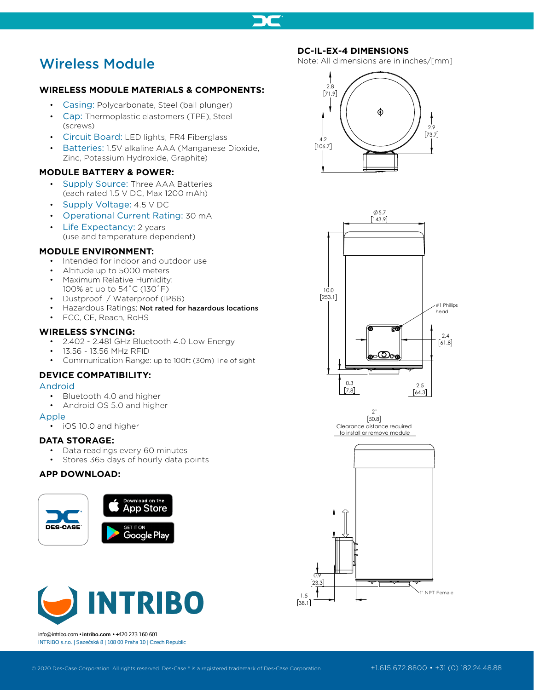

# Wireless Module

# **WIRELESS MODULE MATERIALS & COMPONENTS:**

- Casing: Polycarbonate, Steel (ball plunger)
- Cap: Thermoplastic elastomers (TPE), Steel (screws)
- Circuit Board: LED lights, FR4 Fiberglass
- Batteries: 1.5V alkaline AAA (Manganese Dioxide, Zinc, Potassium Hydroxide, Graphite)

# **MODULE BATTERY & POWER:**

- Supply Source: Three AAA Batteries (each rated 1.5 V DC, Max 1200 mAh)
- Supply Voltage: 4.5 V DC
- Operational Current Rating: 30 mA
- Life Expectancy: 2 years (use and temperature dependent)
- 

# **MODULE ENVIRONMENT:**

- Intended for indoor and outdoor use
- Altitude up to 5000 meters
- Maximum Relative Humidity: 100% at up to 54˚C (130˚F)
- Dustproof / Waterproof (IP66)
- Hazardous Ratings: Not rated for hazardous locations
- FCC, CE, Reach, RoHS

# **WIRELESS SYNCING:**

- 2.402 2.481 GHz Bluetooth 4.0 Low Energy
- 13.56 13.56 MHz RFID
- Communication Range: up to 100ft (30m) line of sight

# **DEVICE COMPATIBILITY:**

### Android

- Bluetooth 4.0 and higher
- Android OS 5.0 and higher

### Apple

• iOS 10.0 and higher

## **DATA STORAGE:**

- Data readings every 60 minutes
- Stores 365 days of hourly data points

# **APP DOWNLOAD:**





info@intribo.com • **intribo.com** • +420 273 160 601 INTRIBO s.r.o. | Saze ská 8 | 108 00 Praha 10 | Czech Republic

# **DC-IL-EX-4 DIMENSIONS**

Note: All dimensions are in inches/[mm]